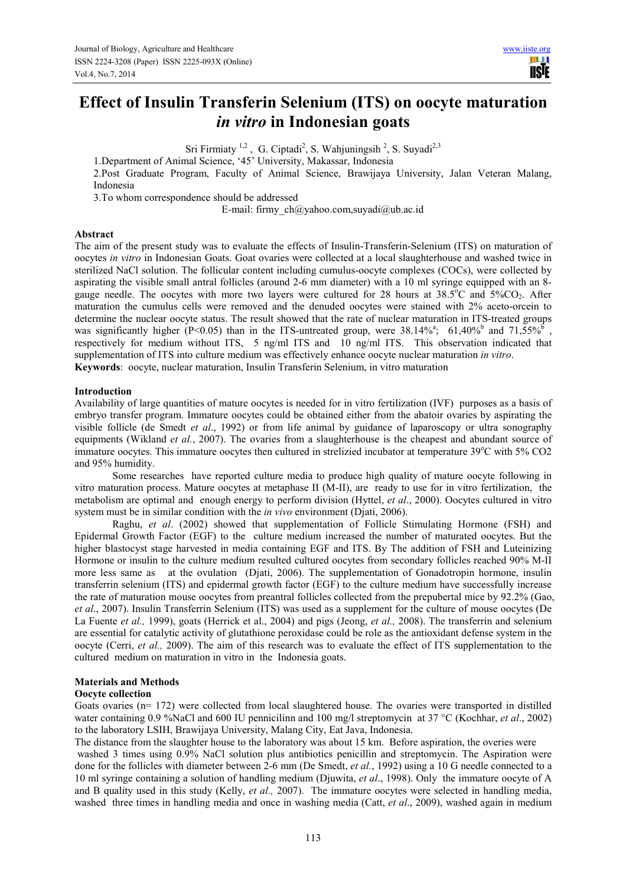# **Effect of Insulin Transferin Selenium (ITS) on oocyte maturation**  *in vitro* **in Indonesian goats**

Sri Firmiaty<sup>1,2</sup>, G. Ciptadi<sup>2</sup>, S. Wahjuningsih<sup>2</sup>, S. Suyadi<sup>2,3</sup>

1.Department of Animal Science, '45' University, Makassar, Indonesia

2.Post Graduate Program, Faculty of Animal Science, Brawijaya University, Jalan Veteran Malang, Indonesia

3.To whom correspondence should be addressed

E-mail: firmy  $ch(\partial y)$ ahoo.com,suyadi $\partial y$ ub.ac.id

# **Abstract**

The aim of the present study was to evaluate the effects of Insulin-Transferin-Selenium (ITS) on maturation of oocytes *in vitro* in Indonesian Goats. Goat ovaries were collected at a local slaughterhouse and washed twice in sterilized NaCl solution. The follicular content including cumulus-oocyte complexes (COCs), were collected by aspirating the visible small antral follicles (around 2-6 mm diameter) with a 10 ml syringe equipped with an 8 gauge needle. The oocytes with more two layers were cultured for 28 hours at  $38.5^{\circ}$ C and  $5\%$ CO<sub>2</sub>. After maturation the cumulus cells were removed and the denuded oocytes were stained with 2% aceto-orcein to determine the nuclear oocyte status. The result showed that the rate of nuclear maturation in ITS-treated groups was significantly higher (P<0.05) than in the ITS-untreated group, were  $38.14\%^a$ ; 61,40% and  $71,55\%^b$ , respectively for medium without ITS, 5 ng/ml ITS and 10 ng/ml ITS. This observation indicated that supplementation of ITS into culture medium was effectively enhance oocyte nuclear maturation *in vitro*. **Keywords**: oocyte, nuclear maturation, Insulin Transferin Selenium, in vitro maturation

# **Introduction**

Availability of large quantities of mature oocytes is needed for in vitro fertilization (IVF) purposes as a basis of embryo transfer program. Immature oocytes could be obtained either from the abatoir ovaries by aspirating the visible follicle (de Smedt *et al*., 1992) or from life animal by guidance of laparoscopy or ultra sonography equipments (Wikland *et al.*, 2007). The ovaries from a slaughterhouse is the cheapest and abundant source of immature oocytes. This immature oocytes then cultured in strelizied incubator at temperature  $39^{\circ}$ C with  $5\%$  CO2 and 95% humidity.

Some researches have reported culture media to produce high quality of mature oocyte following in vitro maturation process. Mature oocytes at metaphase II (M-II), are ready to use for in vitro fertilization, the metabolism are optimal and enough energy to perform division (Hyttel, *et al*., 2000). Oocytes cultured in vitro system must be in similar condition with the *in vivo* environment (Djati, 2006).

Raghu, *et al*. (2002) showed that supplementation of Follicle Stimulating Hormone (FSH) and Epidermal Growth Factor (EGF) to the culture medium increased the number of maturated oocytes. But the higher blastocyst stage harvested in media containing EGF and ITS. By The addition of FSH and Luteinizing Hormone or insulin to the culture medium resulted cultured oocytes from secondary follicles reached 90% M-II more less same as at the ovulation (Djati, 2006). The supplementation of Gonadotropin hormone, insulin transferrin selenium (ITS) and epidermal growth factor (EGF) to the culture medium have successfully increase the rate of maturation mouse oocytes from preantral follicles collected from the prepubertal mice by 92.2% (Gao, *et al*., 2007). Insulin Transferrin Selenium (ITS) was used as a supplement for the culture of mouse oocytes (De La Fuente *et al.,* 1999), goats (Herrick et al., 2004) and pigs (Jeong, *et al.,* 2008). The transferrin and selenium are essential for catalytic activity of glutathione peroxidase could be role as the antioxidant defense system in the oocyte (Cerri, *et al.,* 2009). The aim of this research was to evaluate the effect of ITS supplementation to the cultured medium on maturation in vitro in the Indonesia goats.

# **Materials and Methods**

## **Oocyte collection**

Goats ovaries (n= 172) were collected from local slaughtered house. The ovaries were transported in distilled water containing 0.9 %NaCl and 600 IU pennicilinn and 100 mg/l streptomycin at 37 °C (Kochhar, *et al*., 2002) to the laboratory LSIH, Brawijaya University, Malang City, Eat Java, Indonesia.

The distance from the slaughter house to the laboratory was about 15 km. Before aspiration, the overies were washed 3 times using 0.9% NaCl solution plus antibiotics penicillin and streptomycin. The Aspiration were done for the follicles with diameter between 2-6 mm (De Smedt, *et al.*, 1992) using a 10 G needle connected to a 10 ml syringe containing a solution of handling medium (Djuwita, *et al*., 1998). Only the immature oocyte of A and B quality used in this study (Kelly, *et al.,* 2007). The immature oocytes were selected in handling media, washed three times in handling media and once in washing media (Catt, *et al*., 2009), washed again in medium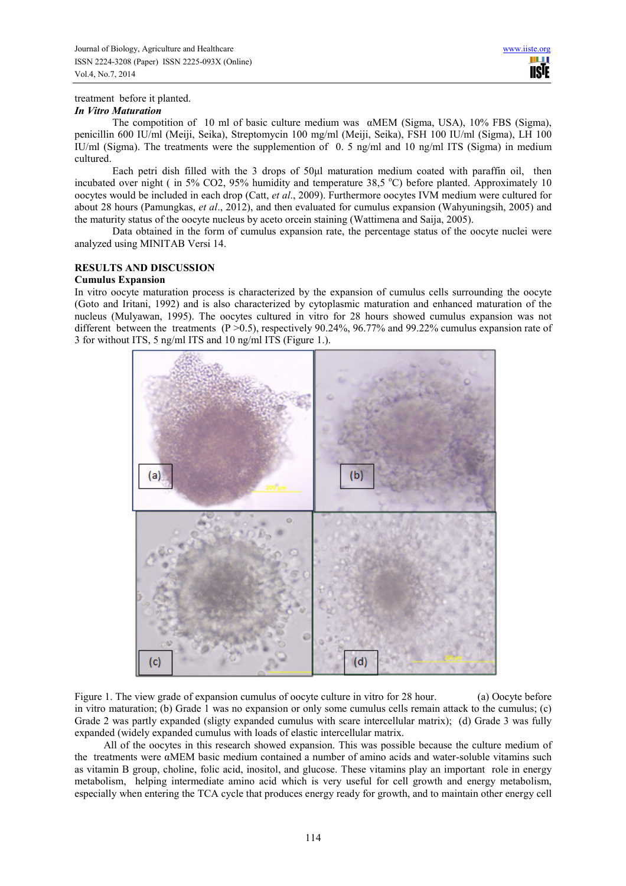## treatment before it planted.

## *In Vitro Maturation*

The compotition of 10 ml of basic culture medium was  $\alpha$ MEM (Sigma, USA), 10% FBS (Sigma), penicillin 600 IU/ml (Meiji, Seika), Streptomycin 100 mg/ml (Meiji, Seika), FSH 100 IU/ml (Sigma), LH 100 IU/ml (Sigma). The treatments were the supplemention of 0. 5 ng/ml and 10 ng/ml ITS (Sigma) in medium cultured.

Each petri dish filled with the 3 drops of 50ul maturation medium coated with paraffin oil, then incubated over night ( in 5% CO2, 95% humidity and temperature 38.5  $^{\circ}$ C) before planted. Approximately 10 oocytes would be included in each drop (Catt, *et al*., 2009). Furthermore oocytes IVM medium were cultured for about 28 hours (Pamungkas, *et al*., 2012), and then evaluated for cumulus expansion (Wahyuningsih, 2005) and the maturity status of the oocyte nucleus by aceto orcein staining (Wattimena and Saija, 2005).

Data obtained in the form of cumulus expansion rate, the percentage status of the oocyte nuclei were analyzed using MINITAB Versi 14.

# **RESULTS AND DISCUSSION**

## **Cumulus Expansion**

In vitro oocyte maturation process is characterized by the expansion of cumulus cells surrounding the oocyte (Goto and Iritani, 1992) and is also characterized by cytoplasmic maturation and enhanced maturation of the nucleus (Mulyawan, 1995). The oocytes cultured in vitro for 28 hours showed cumulus expansion was not different between the treatments (P > 0.5), respectively 90.24%, 96.77% and 99.22% cumulus expansion rate of 3 for without ITS, 5 ng/ml ITS and 10 ng/ml ITS (Figure 1.).



Figure 1. The view grade of expansion cumulus of oocyte culture in vitro for 28 hour. (a) Oocyte before in vitro maturation; (b) Grade 1 was no expansion or only some cumulus cells remain attack to the cumulus; (c) Grade 2 was partly expanded (sligty expanded cumulus with scare intercellular matrix); (d) Grade 3 was fully expanded (widely expanded cumulus with loads of elastic intercellular matrix.

 All of the oocytes in this research showed expansion. This was possible because the culture medium of the treatments were αMEM basic medium contained a number of amino acids and water-soluble vitamins such as vitamin B group, choline, folic acid, inositol, and glucose. These vitamins play an important role in energy metabolism, helping intermediate amino acid which is very useful for cell growth and energy metabolism, especially when entering the TCA cycle that produces energy ready for growth, and to maintain other energy cell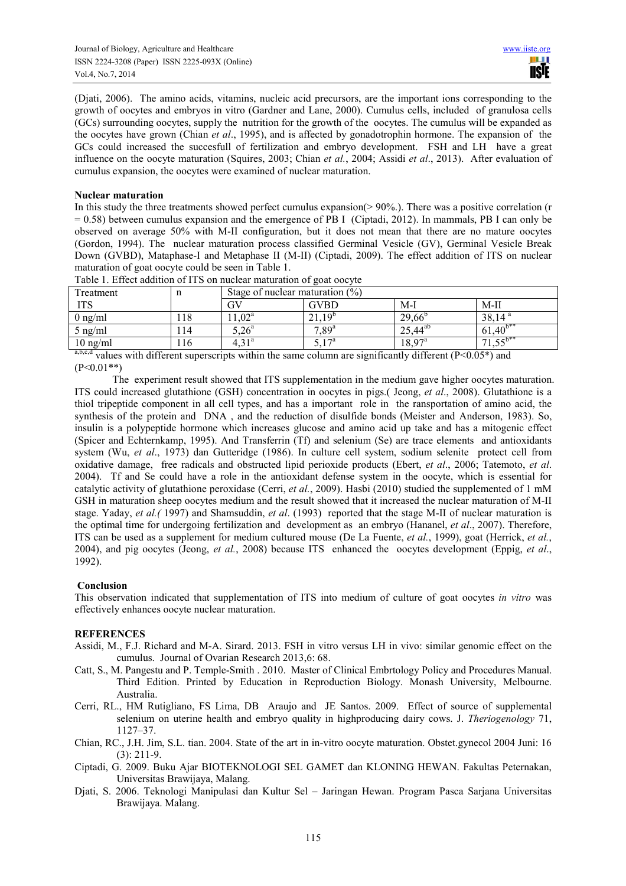(Djati, 2006). The amino acids, vitamins, nucleic acid precursors, are the important ions corresponding to the growth of oocytes and embryos in vitro (Gardner and Lane, 2000). Cumulus cells, included of granulosa cells (GCs) surrounding oocytes, supply the nutrition for the growth of the oocytes. The cumulus will be expanded as the oocytes have grown (Chian *et al*., 1995), and is affected by gonadotrophin hormone. The expansion of the GCs could increased the succesfull of fertilization and embryo development. FSH and LH have a great influence on the oocyte maturation (Squires, 2003; Chian *et al.*, 2004; Assidi *et al*., 2013). After evaluation of cumulus expansion, the oocytes were examined of nuclear maturation.

# **Nuclear maturation**

In this study the three treatments showed perfect cumulus expansion( $> 90\%$ ). There was a positive correlation (r  $= 0.58$ ) between cumulus expansion and the emergence of PB I (Ciptadi, 2012). In mammals, PB I can only be observed on average 50% with M-II configuration, but it does not mean that there are no mature oocytes (Gordon, 1994). The nuclear maturation process classified Germinal Vesicle (GV), Germinal Vesicle Break Down (GVBD), Mataphase-I and Metaphase II (M-II) (Ciptadi, 2009). The effect addition of ITS on nuclear maturation of goat oocyte could be seen in Table 1.

| Treatment                                                                                               | ш   | Stage of nuclear maturation $(\%)$ |                |                    |                 |
|---------------------------------------------------------------------------------------------------------|-----|------------------------------------|----------------|--------------------|-----------------|
| <b>ITS</b>                                                                                              |     | GV                                 | <b>GVBD</b>    | M-l                | $M-II$          |
| $0$ ng/ml                                                                                               | 118 | $1,02^a$                           | $21,19^{b}$    | $29,66^{\circ}$    | $38,14^{\circ}$ |
| 5 ng/ml                                                                                                 | 114 | $5,26^{\circ}$                     | $7.89^{a}$     | $25,44^{ab}$       | $61,40^{b**}$   |
| $10$ ng/ml                                                                                              | 116 | $4.31^{\rm a}$                     | $5,17^{\rm a}$ | $18.97^{\text{a}}$ |                 |
| abed<br>$\cdot$ $\sim$<br>1.00<br>$\sim$ $\sim$ $\sim$ $\sim$ $\sim$<br>(0, 0, 0, 0, 0, 0)<br>$\cdot$ 1 |     |                                    |                |                    |                 |

Table 1. Effect addition of ITS on nuclear maturation of goat oocyte

a,b,c,d values with different superscripts within the same column are significantly different ( $P < 0.05^*$ ) and  $(P<0.01**)$ 

The experiment result showed that ITS supplementation in the medium gave higher oocytes maturation. ITS could increased glutathione (GSH) concentration in oocytes in pigs.( Jeong, *et al*., 2008). Glutathione is a thiol tripeptide component in all cell types, and has a important role in the ransportation of amino acid, the synthesis of the protein and DNA , and the reduction of disulfide bonds (Meister and Anderson, 1983). So, insulin is a polypeptide hormone which increases glucose and amino acid up take and has a mitogenic effect (Spicer and Echternkamp, 1995). And Transferrin (Tf) and selenium (Se) are trace elements and antioxidants system (Wu, *et al*., 1973) dan Gutteridge (1986). In culture cell system, sodium selenite protect cell from oxidative damage, free radicals and obstructed lipid perioxide products (Ebert, *et al*., 2006; Tatemoto, *et al*. 2004). Tf and Se could have a role in the antioxidant defense system in the oocyte, which is essential for catalytic activity of glutathione peroxidase (Cerri, *et al.*, 2009). Hasbi (2010) studied the supplemented of 1 mM GSH in maturation sheep oocytes medium and the result showed that it increased the nuclear maturation of M-II stage. Yaday, *et al.(* 1997) and Shamsuddin, *et al*. (1993) reported that the stage M-II of nuclear maturation is the optimal time for undergoing fertilization and development as an embryo (Hananel, *et al*., 2007). Therefore, ITS can be used as a supplement for medium cultured mouse (De La Fuente, *et al.*, 1999), goat (Herrick, *et al.*, 2004), and pig oocytes (Jeong, *et al.*, 2008) because ITS enhanced the oocytes development (Eppig, *et al*., 1992).

## **Conclusion**

This observation indicated that supplementation of ITS into medium of culture of goat oocytes *in vitro* was effectively enhances oocyte nuclear maturation.

## **REFERENCES**

- Assidi, M., F.J. Richard and M-A. Sirard. 2013. FSH in vitro versus LH in vivo: similar genomic effect on the cumulus. Journal of Ovarian Research 2013,6: 68.
- Catt, S., M. Pangestu and P. Temple-Smith . 2010. Master of Clinical Embrtology Policy and Procedures Manual. Third Edition. Printed by Education in Reproduction Biology. Monash University, Melbourne. Australia.
- Cerri, RL., HM Rutigliano, FS Lima, DB Araujo and JE Santos. 2009. Effect of source of supplemental selenium on uterine health and embryo quality in highproducing dairy cows. J. *Theriogenology* 71, 1127–37.
- Chian, RC., J.H. Jim, S.L. tian. 2004. State of the art in in-vitro oocyte maturation. Obstet.gynecol 2004 Juni: 16 (3): 211-9.
- Ciptadi, G. 2009. Buku Ajar BIOTEKNOLOGI SEL GAMET dan KLONING HEWAN. Fakultas Peternakan, Universitas Brawijaya, Malang.
- Djati, S. 2006. Teknologi Manipulasi dan Kultur Sel Jaringan Hewan. Program Pasca Sarjana Universitas Brawijaya. Malang.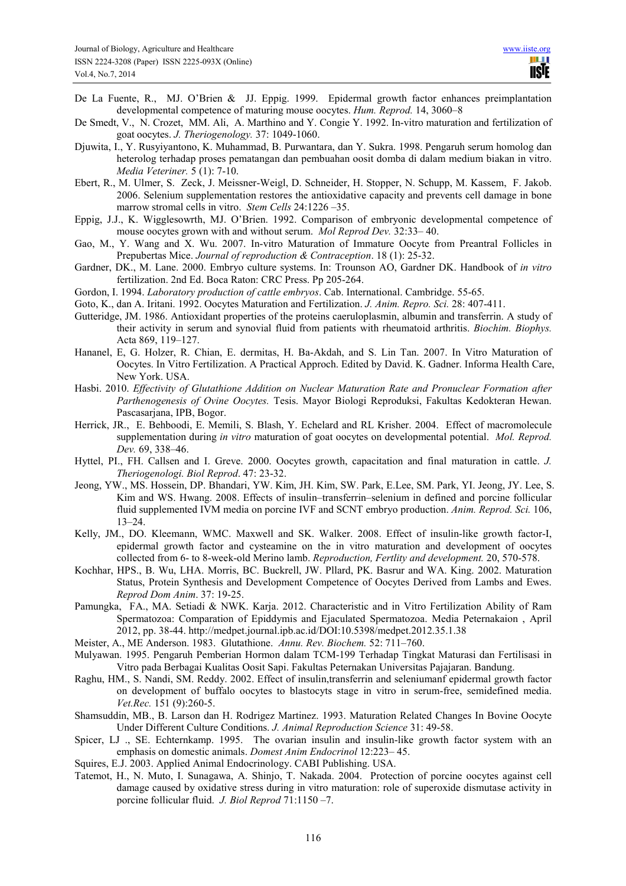De La Fuente, R., MJ. O'Brien & JJ. Eppig. 1999. Epidermal growth factor enhances preimplantation developmental competence of maturing mouse oocytes. *Hum. Reprod.* 14, 3060–8

- De Smedt, V., N. Crozet, MM. Ali, A. Marthino and Y. Congie Y. 1992. In-vitro maturation and fertilization of goat oocytes. *J. Theriogenology.* 37: 1049-1060.
- Djuwita, I., Y. Rusyiyantono, K. Muhammad, B. Purwantara, dan Y. Sukra. 1998. Pengaruh serum homolog dan heterolog terhadap proses pematangan dan pembuahan oosit domba di dalam medium biakan in vitro. *Media Veteriner.* 5 (1): 7-10.
- Ebert, R., M. Ulmer, S. Zeck, J. Meissner-Weigl, D. Schneider, H. Stopper, N. Schupp, M. Kassem, F. Jakob. 2006. Selenium supplementation restores the antioxidative capacity and prevents cell damage in bone marrow stromal cells in vitro. *Stem Cells* 24:1226 –35.
- Eppig, J.J., K. Wigglesowrth, MJ. O'Brien. 1992. Comparison of embryonic developmental competence of mouse oocytes grown with and without serum. *Mol Reprod Dev.* 32:33– 40.
- Gao, M., Y. Wang and X. Wu. 2007. In-vitro Maturation of Immature Oocyte from Preantral Follicles in Prepubertas Mice. *Journal of reproduction & Contraception*. 18 (1): 25-32.
- Gardner, DK., M. Lane. 2000. Embryo culture systems. In: Trounson AO, Gardner DK. Handbook of *in vitro* fertilization. 2nd Ed. Boca Raton: CRC Press. Pp 205-264.
- Gordon, I. 1994. *Laboratory production of cattle embryos*. Cab. International. Cambridge. 55-65.
- Goto, K., dan A. Iritani. 1992. Oocytes Maturation and Fertilization. *J. Anim. Repro. Sci.* 28: 407-411.
- Gutteridge, JM. 1986. Antioxidant properties of the proteins caeruloplasmin, albumin and transferrin. A study of their activity in serum and synovial fluid from patients with rheumatoid arthritis. *Biochim. Biophys.* Acta 869, 119–127.
- Hananel, E, G. Holzer, R. Chian, E. dermitas, H. Ba-Akdah, and S. Lin Tan. 2007. In Vitro Maturation of Oocytes. In Vitro Fertilization. A Practical Approch. Edited by David. K. Gadner. Informa Health Care, New York. USA.
- Hasbi. 2010. *Effectivity of Glutathione Addition on Nuclear Maturation Rate and Pronuclear Formation after Parthenogenesis of Ovine Oocytes.* Tesis. Mayor Biologi Reproduksi, Fakultas Kedokteran Hewan. Pascasarjana, IPB, Bogor.
- Herrick, JR., E. Behboodi, E. Memili, S. Blash, Y. Echelard and RL Krisher. 2004. Effect of macromolecule supplementation during *in vitro* maturation of goat oocytes on developmental potential. *Mol. Reprod. Dev.* 69, 338–46.
- Hyttel, PI., FH. Callsen and I. Greve. 2000. Oocytes growth, capacitation and final maturation in cattle. *J. Theriogenologi. Biol Reprod*. 47: 23-32.
- Jeong, YW., MS. Hossein, DP. Bhandari, YW. Kim, JH. Kim, SW. Park, E.Lee, SM. Park, YI. Jeong, JY. Lee, S. Kim and WS. Hwang. 2008. Effects of insulin–transferrin–selenium in defined and porcine follicular fluid supplemented IVM media on porcine IVF and SCNT embryo production. *Anim. Reprod. Sci.* 106, 13–24.
- Kelly, JM., DO. Kleemann, WMC. Maxwell and SK. Walker. 2008. Effect of insulin-like growth factor-I, epidermal growth factor and cysteamine on the in vitro maturation and development of oocytes collected from 6- to 8-week-old Merino lamb. *Reproduction, Fertlity and development.* 20, 570-578.
- Kochhar, HPS., B. Wu, LHA. Morris, BC. Buckrell, JW. Pllard, PK. Basrur and WA. King. 2002. Maturation Status, Protein Synthesis and Development Competence of Oocytes Derived from Lambs and Ewes. *Reprod Dom Anim*. 37: 19-25.
- Pamungka, FA., MA. Setiadi & NWK. Karja. 2012. Characteristic and in Vitro Fertilization Ability of Ram Spermatozoa: Comparation of Epiddymis and Ejaculated Spermatozoa. Media Peternakaion , April 2012, pp. 38-44. http://medpet.journal.ipb.ac.id/DOI:10.5398/medpet.2012.35.1.38
- Meister, A., ME Anderson. 1983. Glutathione. *Annu. Rev. Biochem.* 52: 711–760.
- Mulyawan. 1995. Pengaruh Pemberian Hormon dalam TCM-199 Terhadap Tingkat Maturasi dan Fertilisasi in Vitro pada Berbagai Kualitas Oosit Sapi. Fakultas Peternakan Universitas Pajajaran. Bandung.
- Raghu, HM., S. Nandi, SM. Reddy. 2002. Effect of insulin,transferrin and seleniumanf epidermal growth factor on development of buffalo oocytes to blastocyts stage in vitro in serum-free, semidefined media. *Vet.Rec.* 151 (9):260-5.
- Shamsuddin, MB., B. Larson dan H. Rodrigez Martinez. 1993. Maturation Related Changes In Bovine Oocyte Under Different Culture Conditions. *J. Animal Reproduction Science* 31: 49-58.
- Spicer, LJ ., SE. Echternkamp. 1995. The ovarian insulin and insulin-like growth factor system with an emphasis on domestic animals. *Domest Anim Endocrinol* 12:223– 45.
- Squires, E.J. 2003. Applied Animal Endocrinology. CABI Publishing. USA.
- Tatemot, H., N. Muto, I. Sunagawa, A. Shinjo, T. Nakada. 2004. Protection of porcine oocytes against cell damage caused by oxidative stress during in vitro maturation: role of superoxide dismutase activity in porcine follicular fluid. *J. Biol Reprod* 71:1150 –7.